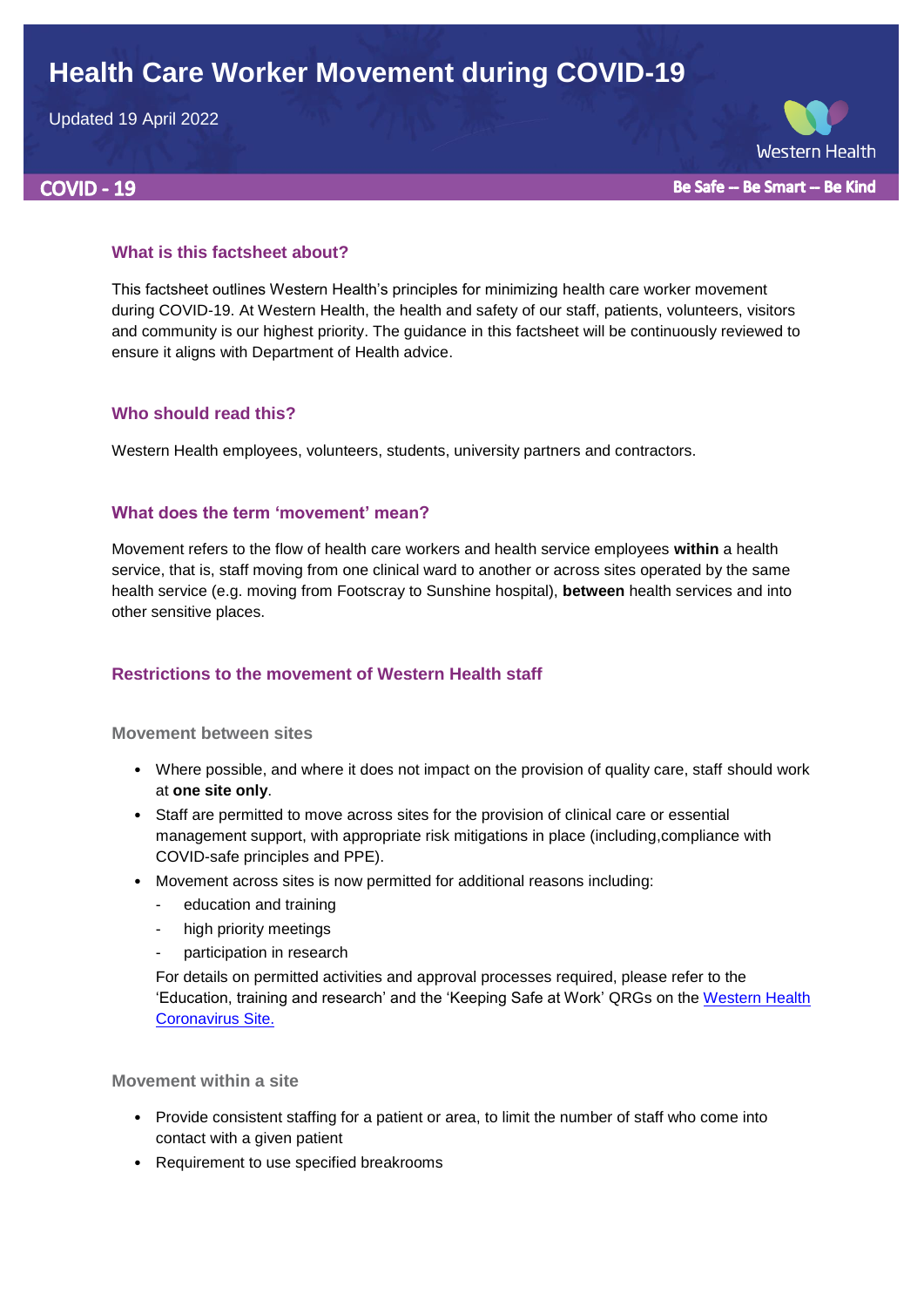# **Health Care Worker Movement during COVID-19**

Updated 19 April 2022

# **COVID - 19**



Be Safe -- Be Smart -- Be Kind

## **What is this factsheet about?**

This factsheet outlines Western Health's principles for minimizing health care worker movement during COVID-19. At Western Health, the health and safety of our staff, patients, volunteers, visitors and community is our highest priority. The guidance in this factsheet will be continuously reviewed to ensure it aligns with Department of Health advice.

# **Who should read this?**

Western Health employees, volunteers, students, university partners and contractors.

# **What does the term 'movement' mean?**

Movement refers to the flow of health care workers and health service employees **within** a health service, that is, staff moving from one clinical ward to another or across sites operated by the same health service (e.g. moving from Footscray to Sunshine hospital), **between** health services and into other sensitive places.

# **Restrictions to the movement of Western Health staff**

**Movement between sites** 

- Where possible, and where it does not impact on the provision of quality care, staff should work at **one site only**.
- Staff are permitted to move across sites for the provision of clinical care or essential management support, with appropriate risk mitigations in place (including,compliance with COVID-safe principles and PPE).
- Movement across sites is now permitted for additional reasons including:
	- education and training
	- high priority meetings
	- participation in research

For details on permitted activities and approval processes required, please refer to the 'Education, training and research' and the 'Keeping Safe at Work' QRGs on the [Western Health](https://coronavirus.wh.org.au/quick-reference-guides/)  [Coronavirus Site.](https://coronavirus.wh.org.au/quick-reference-guides/)

#### **Movement within a site**

- Provide consistent staffing for a patient or area, to limit the number of staff who come into contact with a given patient
- Requirement to use specified breakrooms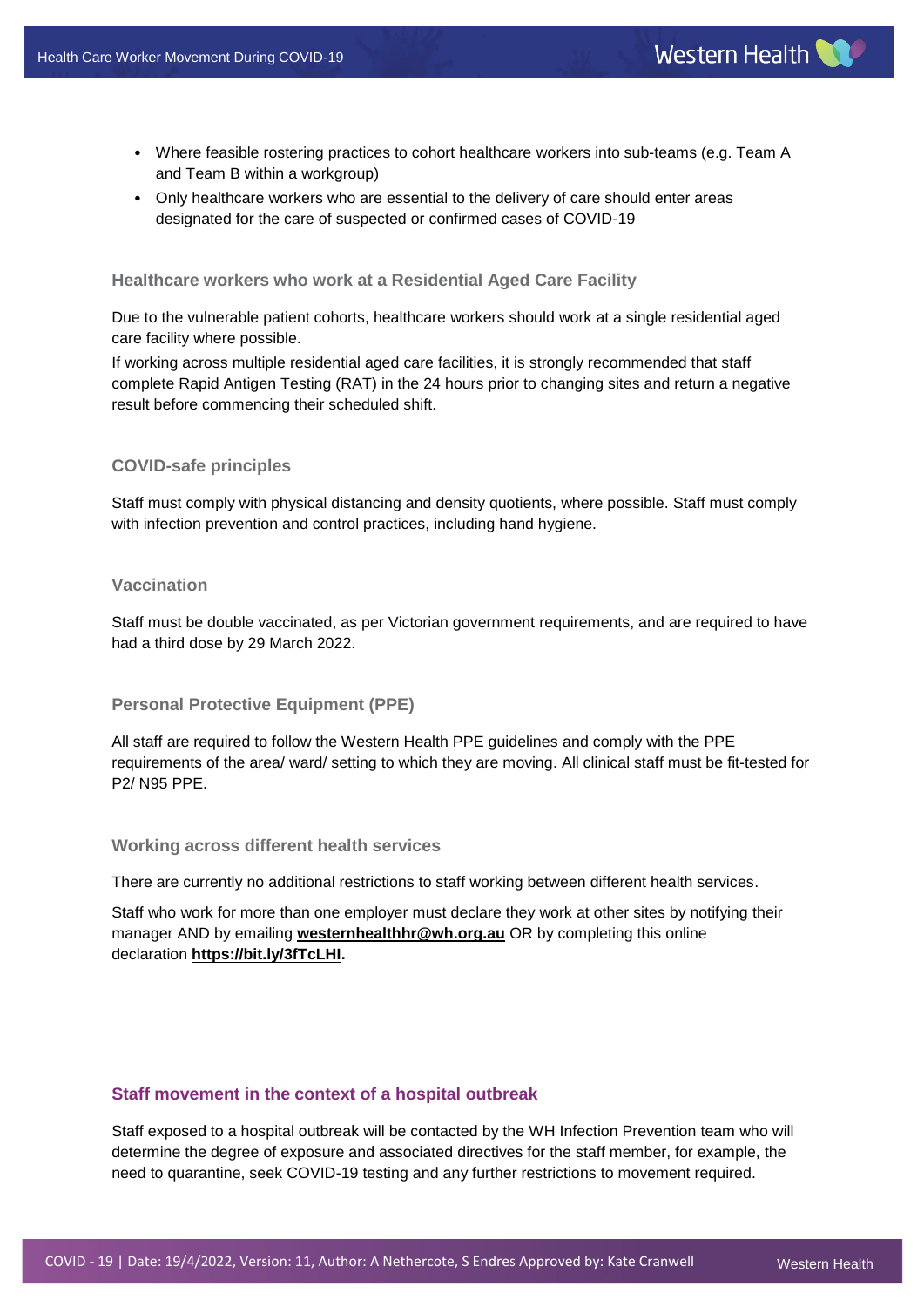- Where feasible rostering practices to cohort healthcare workers into sub-teams (e.g. Team A and Team B within a workgroup)
- Only healthcare workers who are essential to the delivery of care should enter areas designated for the care of suspected or confirmed cases of COVID-19

**Healthcare workers who work at a Residential Aged Care Facility**

Due to the vulnerable patient cohorts, healthcare workers should work at a single residential aged care facility where possible.

If working across multiple residential aged care facilities, it is strongly recommended that staff complete Rapid Antigen Testing (RAT) in the 24 hours prior to changing sites and return a negative result before commencing their scheduled shift.

# **COVID-safe principles**

Staff must comply with physical distancing and density quotients, where possible. Staff must comply with infection prevention and control practices, including hand hygiene.

## **Vaccination**

Staff must be double vaccinated, as per Victorian government requirements, and are required to have had a third dose by 29 March 2022.

#### **Personal Protective Equipment (PPE)**

All staff are required to follow the Western Health PPE guidelines and comply with the PPE requirements of the area/ ward/ setting to which they are moving. All clinical staff must be fit-tested for P2/ N95 PPE.

**Working across different health services** 

There are currently no additional restrictions to staff working between different health services.

Staff who work for more than one employer must declare they work at other sites by notifying their manager AND by emailing **[westernhealthhr@wh.org.au](mailto:westernhealthhr@wh.org.au)** OR by completing this online declaration **[https://bit.ly/3fTcLHI.](https://bit.ly/3fTcLHI)** 

#### **Staff movement in the context of a hospital outbreak**

Staff exposed to a hospital outbreak will be contacted by the WH Infection Prevention team who will determine the degree of exposure and associated directives for the staff member, for example, the need to quarantine, seek COVID-19 testing and any further restrictions to movement required.